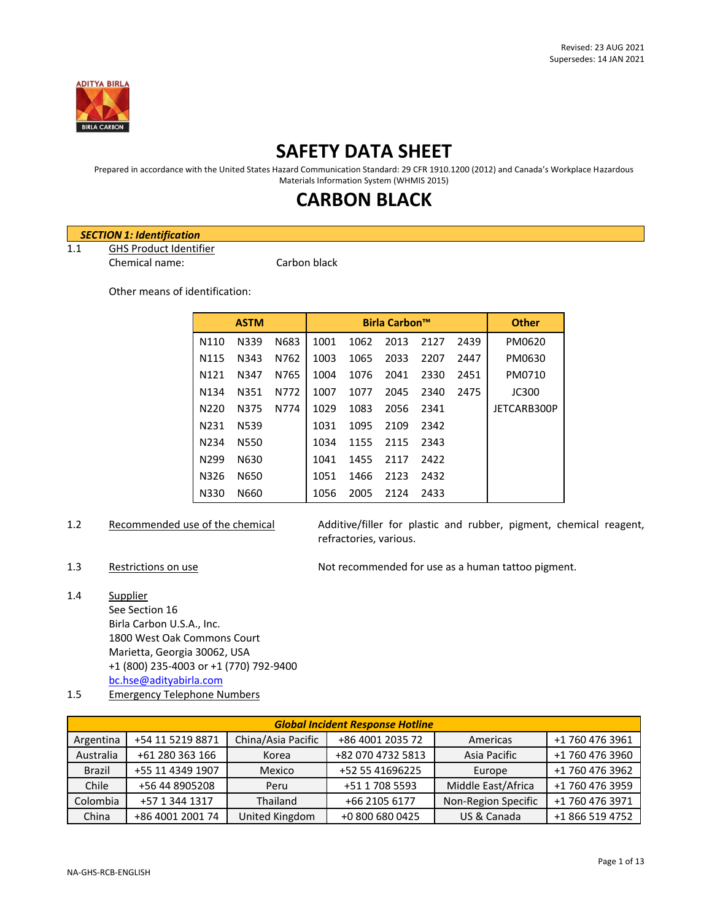

## **SAFETY DATA SHEET**

Prepared in accordance with the United States Hazard Communication Standard: 29 CFR 1910.1200 (2012) and Canada's Workplace Hazardous Materials Information System (WHMIS 2015)

# **CARBON BLACK**

### *SECTION 1: Identification*

1.1 GHS Product Identifier Chemical name: Carbon black

Other means of identification:

| <b>ASTM</b>       |      |      | <b>Birla Carbon™</b> |      |      |      | <b>Other</b> |              |
|-------------------|------|------|----------------------|------|------|------|--------------|--------------|
| N110              | N339 | N683 | 1001                 | 1062 | 2013 | 2127 | 2439         | PM0620       |
| N <sub>115</sub>  | N343 | N762 | 1003                 | 1065 | 2033 | 2207 | 2447         | PM0630       |
| N121              | N347 | N765 | 1004                 | 1076 | 2041 | 2330 | 2451         | PM0710       |
| N <sub>1</sub> 34 | N351 | N772 | 1007                 | 1077 | 2045 | 2340 | 2475         | <b>JC300</b> |
| N <sub>220</sub>  | N375 | N774 | 1029                 | 1083 | 2056 | 2341 |              | JETCARB300P  |
| N <sub>2</sub> 31 | N539 |      | 1031                 | 1095 | 2109 | 2342 |              |              |
| N <sub>2</sub> 34 | N550 |      | 1034                 | 1155 | 2115 | 2343 |              |              |
| N <sub>299</sub>  | N630 |      | 1041                 | 1455 | 2117 | 2422 |              |              |
| N326              | N650 |      | 1051                 | 1466 | 2123 | 2432 |              |              |
| N330              | N660 |      | 1056                 | 2005 | 2124 | 2433 |              |              |

1.2 Recommended use of the chemical Additive/filler for plastic and rubber, pigment, chemical reagent, refractories, various.

1.3 Restrictions on use Not recommended for use as a human tattoo pigment.

- 1.4 Supplier See Section 16 Birla Carbon U.S.A., Inc. 1800 West Oak Commons Court Marietta, Georgia 30062, USA +1 (800) 235-4003 or +1 (770) 792-9400 [bc.hse@adityabirla.com](mailto:bc.hse@adityabirla.com)
- 1.5 Emergency Telephone Numbers

|               | <b>Global Incident Response Hotline</b> |                    |                   |                     |                 |  |  |
|---------------|-----------------------------------------|--------------------|-------------------|---------------------|-----------------|--|--|
| Argentina     | +54 11 5219 8871                        | China/Asia Pacific | +86 4001 2035 72  | Americas            | +1 760 476 3961 |  |  |
| Australia     | +61 280 363 166                         | Korea              | +82 070 4732 5813 | Asia Pacific        | +1 760 476 3960 |  |  |
| <b>Brazil</b> | +55 11 4349 1907                        | Mexico             | +52 55 41696225   | Europe              | +1 760 476 3962 |  |  |
| Chile         | +56 44 8905208                          | Peru               | +51 1 708 5593    | Middle East/Africa  | +1 760 476 3959 |  |  |
| Colombia      | +57 1 344 1317                          | Thailand           | +66 2105 6177     | Non-Region Specific | +1 760 476 3971 |  |  |
| China         | +86 4001 2001 74                        | United Kingdom     | +0 800 680 0425   | US & Canada         | +1 866 519 4752 |  |  |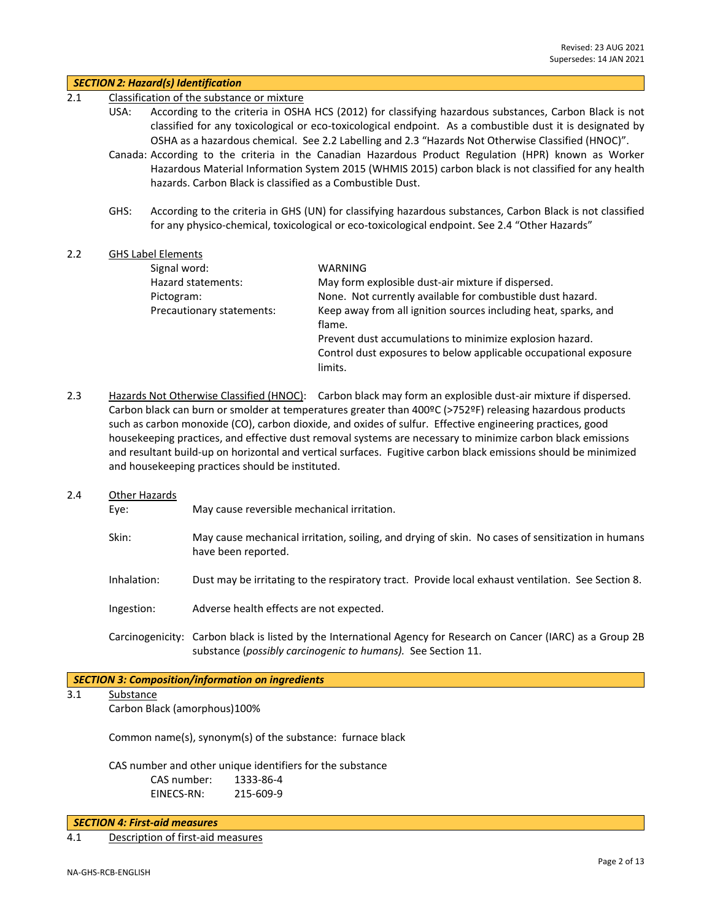|     |             | <b>SECTION 2: Hazard(s) Identification</b>                                                                                                                                                                                                                                                                                |                                                                                                                                                                                                                                                                                                                                                                                                                                                                                                                                                                         |  |  |  |  |
|-----|-------------|---------------------------------------------------------------------------------------------------------------------------------------------------------------------------------------------------------------------------------------------------------------------------------------------------------------------------|-------------------------------------------------------------------------------------------------------------------------------------------------------------------------------------------------------------------------------------------------------------------------------------------------------------------------------------------------------------------------------------------------------------------------------------------------------------------------------------------------------------------------------------------------------------------------|--|--|--|--|
| 2.1 |             | Classification of the substance or mixture                                                                                                                                                                                                                                                                                |                                                                                                                                                                                                                                                                                                                                                                                                                                                                                                                                                                         |  |  |  |  |
|     | USA:        | According to the criteria in OSHA HCS (2012) for classifying hazardous substances, Carbon Black is not<br>classified for any toxicological or eco-toxicological endpoint. As a combustible dust it is designated by<br>OSHA as a hazardous chemical. See 2.2 Labelling and 2.3 "Hazards Not Otherwise Classified (HNOC)". |                                                                                                                                                                                                                                                                                                                                                                                                                                                                                                                                                                         |  |  |  |  |
|     |             | hazards. Carbon Black is classified as a Combustible Dust.                                                                                                                                                                                                                                                                | Canada: According to the criteria in the Canadian Hazardous Product Regulation (HPR) known as Worker<br>Hazardous Material Information System 2015 (WHMIS 2015) carbon black is not classified for any health                                                                                                                                                                                                                                                                                                                                                           |  |  |  |  |
|     | GHS:        |                                                                                                                                                                                                                                                                                                                           | According to the criteria in GHS (UN) for classifying hazardous substances, Carbon Black is not classified<br>for any physico-chemical, toxicological or eco-toxicological endpoint. See 2.4 "Other Hazards"                                                                                                                                                                                                                                                                                                                                                            |  |  |  |  |
| 2.2 |             | <b>GHS Label Elements</b>                                                                                                                                                                                                                                                                                                 |                                                                                                                                                                                                                                                                                                                                                                                                                                                                                                                                                                         |  |  |  |  |
|     |             | Signal word:                                                                                                                                                                                                                                                                                                              | <b>WARNING</b>                                                                                                                                                                                                                                                                                                                                                                                                                                                                                                                                                          |  |  |  |  |
|     |             | Hazard statements:                                                                                                                                                                                                                                                                                                        | May form explosible dust-air mixture if dispersed.                                                                                                                                                                                                                                                                                                                                                                                                                                                                                                                      |  |  |  |  |
|     |             | Pictogram:                                                                                                                                                                                                                                                                                                                | None. Not currently available for combustible dust hazard.                                                                                                                                                                                                                                                                                                                                                                                                                                                                                                              |  |  |  |  |
|     |             | Precautionary statements:                                                                                                                                                                                                                                                                                                 | Keep away from all ignition sources including heat, sparks, and<br>flame.                                                                                                                                                                                                                                                                                                                                                                                                                                                                                               |  |  |  |  |
|     |             |                                                                                                                                                                                                                                                                                                                           | Prevent dust accumulations to minimize explosion hazard.                                                                                                                                                                                                                                                                                                                                                                                                                                                                                                                |  |  |  |  |
|     |             |                                                                                                                                                                                                                                                                                                                           | Control dust exposures to below applicable occupational exposure<br>limits.                                                                                                                                                                                                                                                                                                                                                                                                                                                                                             |  |  |  |  |
| 2.3 |             | and housekeeping practices should be instituted.                                                                                                                                                                                                                                                                          | Hazards Not Otherwise Classified (HNOC): Carbon black may form an explosible dust-air mixture if dispersed.<br>Carbon black can burn or smolder at temperatures greater than 400°C (>752°F) releasing hazardous products<br>such as carbon monoxide (CO), carbon dioxide, and oxides of sulfur. Effective engineering practices, good<br>housekeeping practices, and effective dust removal systems are necessary to minimize carbon black emissions<br>and resultant build-up on horizontal and vertical surfaces. Fugitive carbon black emissions should be minimized |  |  |  |  |
| 2.4 |             | Other Hazards                                                                                                                                                                                                                                                                                                             |                                                                                                                                                                                                                                                                                                                                                                                                                                                                                                                                                                         |  |  |  |  |
|     | Eye:        | May cause reversible mechanical irritation.                                                                                                                                                                                                                                                                               |                                                                                                                                                                                                                                                                                                                                                                                                                                                                                                                                                                         |  |  |  |  |
|     | Skin:       | have been reported.                                                                                                                                                                                                                                                                                                       | May cause mechanical irritation, soiling, and drying of skin. No cases of sensitization in humans                                                                                                                                                                                                                                                                                                                                                                                                                                                                       |  |  |  |  |
|     | Inhalation: |                                                                                                                                                                                                                                                                                                                           | Dust may be irritating to the respiratory tract. Provide local exhaust ventilation. See Section 8.                                                                                                                                                                                                                                                                                                                                                                                                                                                                      |  |  |  |  |

Ingestion: Adverse health effects are not expected.

Carcinogenicity: Carbon black is listed by the International Agency for Research on Cancer (IARC) as a Group 2B substance (*possibly carcinogenic to humans).* See Section 11.

### *SECTION 3: Composition/information on ingredients*

## 3.1 Substance

Carbon Black (amorphous)100%

Common name(s), synonym(s) of the substance: furnace black

CAS number and other unique identifiers for the substance CAS number: 1333-86-4 EINECS-RN: 215-609-9

*SECTION 4: First-aid measures*

4.1 Description of first-aid measures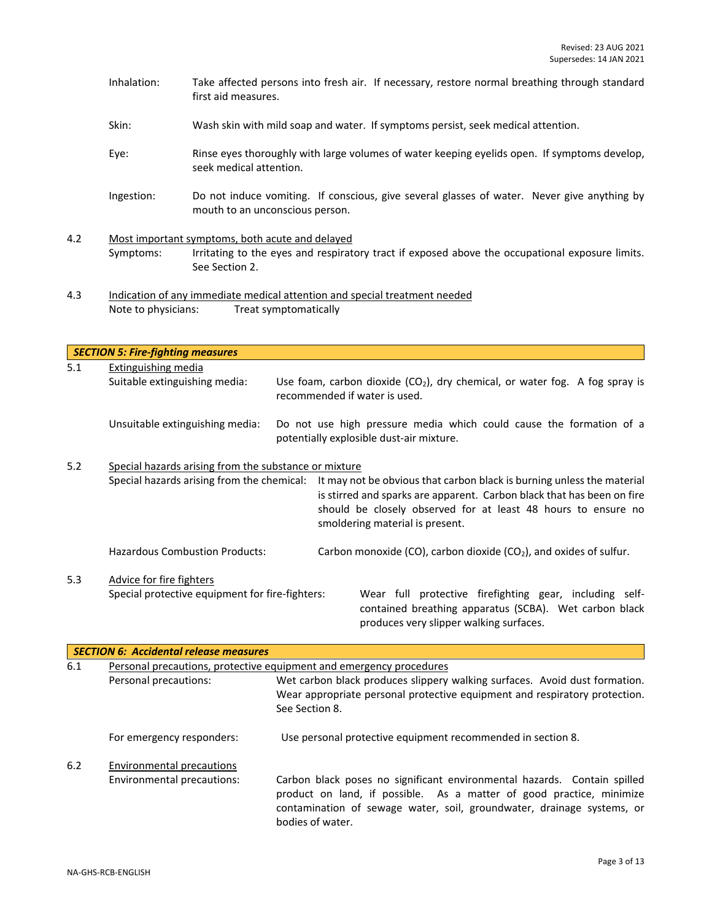- Inhalation: Take affected persons into fresh air. If necessary, restore normal breathing through standard first aid measures.
- Skin: Wash skin with mild soap and water. If symptoms persist, seek medical attention.
- Eye: Rinse eyes thoroughly with large volumes of water keeping eyelids open. If symptoms develop, seek medical attention.
- Ingestion: Do not induce vomiting. If conscious, give several glasses of water. Never give anything by mouth to an unconscious person.
- 4.2 Most important symptoms, both acute and delayed Symptoms: Irritating to the eyes and respiratory tract if exposed above the occupational exposure limits. See Section 2.
- 4.3 Indication of any immediate medical attention and special treatment needed Note to physicians: Treat symptomatically

*SECTION 5: Fire-fighting measures* 5.1 Extinguishing media Suitable extinguishing media: Use foam, carbon dioxide  $(CO<sub>2</sub>)$ , dry chemical, or water fog. A fog spray is recommended if water is used. Unsuitable extinguishing media: Do not use high pressure media which could cause the formation of a potentially explosible dust-air mixture. 5.2 Special hazards arising from the substance or mixture Special hazards arising from the chemical: It may not be obvious that carbon black is burning unless the material is stirred and sparks are apparent. Carbon black that has been on fire should be closely observed for at least 48 hours to ensure no smoldering material is present. Hazardous Combustion Products: Carbon monoxide (CO), carbon dioxide (CO<sub>2</sub>), and oxides of sulfur. 5.3 Advice for fire fighters Special protective equipment for fire-fighters: Wear full protective firefighting gear, including selfcontained breathing apparatus (SCBA). Wet carbon black produces very slipper walking surfaces.

|     | <b>SECTION 6: Accidental release measures</b> |                                                                                                                                                                                                                                                |  |  |  |  |  |
|-----|-----------------------------------------------|------------------------------------------------------------------------------------------------------------------------------------------------------------------------------------------------------------------------------------------------|--|--|--|--|--|
| 6.1 |                                               | Personal precautions, protective equipment and emergency procedures                                                                                                                                                                            |  |  |  |  |  |
|     | Personal precautions:                         | Wet carbon black produces slippery walking surfaces. Avoid dust formation.<br>Wear appropriate personal protective equipment and respiratory protection.<br>See Section 8.                                                                     |  |  |  |  |  |
|     | For emergency responders:                     | Use personal protective equipment recommended in section 8.                                                                                                                                                                                    |  |  |  |  |  |
| 6.2 | <b>Environmental precautions</b>              |                                                                                                                                                                                                                                                |  |  |  |  |  |
|     | Environmental precautions:                    | Carbon black poses no significant environmental hazards. Contain spilled<br>product on land, if possible. As a matter of good practice, minimize<br>contamination of sewage water, soil, groundwater, drainage systems, or<br>bodies of water. |  |  |  |  |  |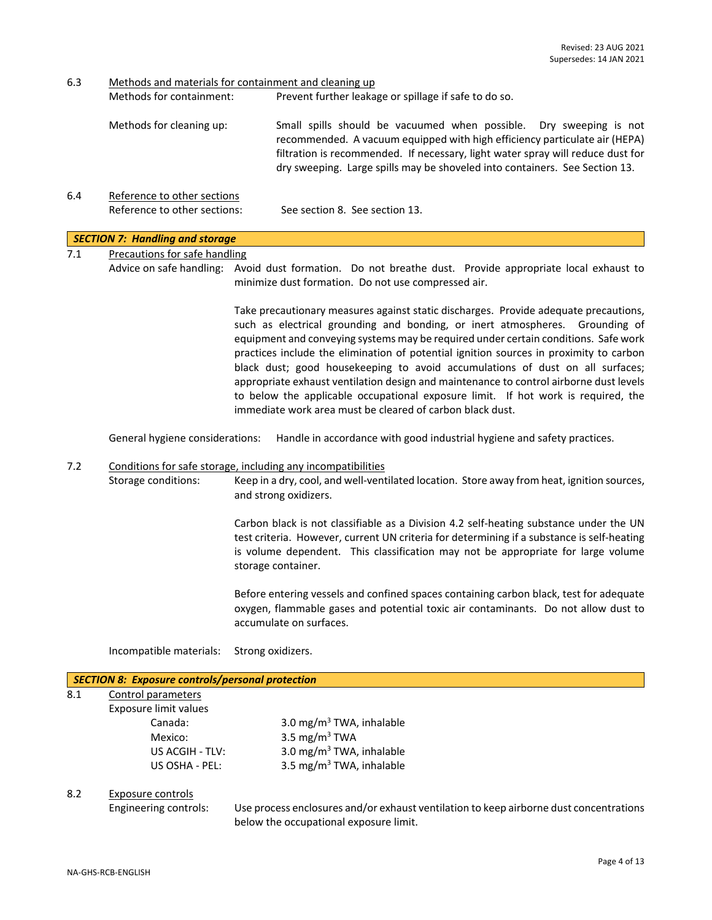6.3 Methods and materials for containment and cleaning up

| Methods for containment: | Prevent further leakage or spillage if safe to do so.                                                                                                                                                                                                                                                              |
|--------------------------|--------------------------------------------------------------------------------------------------------------------------------------------------------------------------------------------------------------------------------------------------------------------------------------------------------------------|
| Methods for cleaning up: | Small spills should be vacuumed when possible. Dry sweeping is not<br>recommended. A vacuum equipped with high efficiency particulate air (HEPA)<br>filtration is recommended. If necessary, light water spray will reduce dust for<br>dry sweeping. Large spills may be shoveled into containers. See Section 13. |

6.4 Reference to other sections Reference to other sections: See section 8. See section 13.

#### *SECTION 7: Handling and storage*

7.1 Precautions for safe handling

Advice on safe handling: Avoid dust formation. Do not breathe dust. Provide appropriate local exhaust to minimize dust formation. Do not use compressed air.

> Take precautionary measures against static discharges. Provide adequate precautions, such as electrical grounding and bonding, or inert atmospheres. Grounding of equipment and conveying systems may be required under certain conditions. Safe work practices include the elimination of potential ignition sources in proximity to carbon black dust; good housekeeping to avoid accumulations of dust on all surfaces; appropriate exhaust ventilation design and maintenance to control airborne dust levels to below the applicable occupational exposure limit. If hot work is required, the immediate work area must be cleared of carbon black dust.

General hygiene considerations: Handle in accordance with good industrial hygiene and safety practices.

#### 7.2 Conditions for safe storage, including any incompatibilities

Storage conditions: Keep in a dry, cool, and well-ventilated location. Store away from heat, ignition sources, and strong oxidizers.

> Carbon black is not classifiable as a Division 4.2 self-heating substance under the UN test criteria. However, current UN criteria for determining if a substance is self-heating is volume dependent. This classification may not be appropriate for large volume storage container.

> Before entering vessels and confined spaces containing carbon black, test for adequate oxygen, flammable gases and potential toxic air contaminants. Do not allow dust to accumulate on surfaces.

Incompatible materials: Strong oxidizers.

#### *SECTION 8: Exposure controls/personal protection*

| 8.1 | Control parameters    |  |  |  |  |  |
|-----|-----------------------|--|--|--|--|--|
|     | Exposure limit values |  |  |  |  |  |
|     | Canada:               |  |  |  |  |  |
|     | Mexico:               |  |  |  |  |  |
|     | LIC ACCULTIVE         |  |  |  |  |  |

3.0 mg/m $3$  TWA, inhalable 3.5 mg/m $3$  TWA US ACGIH - TLV:  $3.0 \text{ mg/m}^3$  TWA, inhalable US OSHA - PEL: 3.5 mg/m<sup>3</sup> TWA, inhalable

#### 8.2 Exposure controls

Engineering controls: Use process enclosures and/or exhaust ventilation to keep airborne dust concentrations below the occupational exposure limit.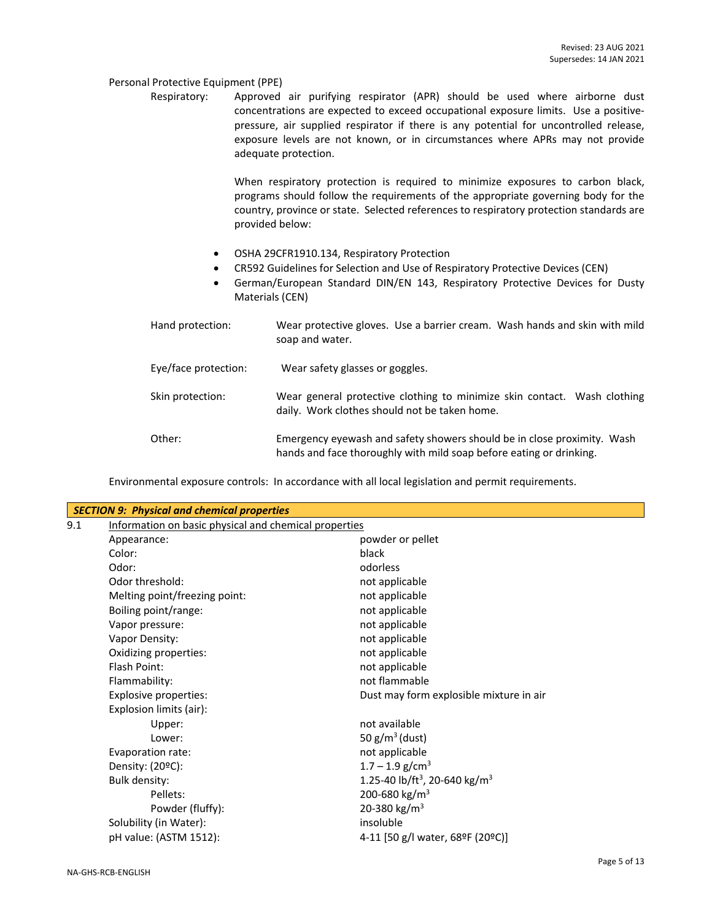#### Personal Protective Equipment (PPE)

Respiratory: Approved air purifying respirator (APR) should be used where airborne dust concentrations are expected to exceed occupational exposure limits. Use a positivepressure, air supplied respirator if there is any potential for uncontrolled release, exposure levels are not known, or in circumstances where APRs may not provide adequate protection.

> When respiratory protection is required to minimize exposures to carbon black, programs should follow the requirements of the appropriate governing body for the country, province or state. Selected references to respiratory protection standards are provided below:

- OSHA 29CFR1910.134, Respiratory Protection
- CR592 Guidelines for Selection and Use of Respiratory Protective Devices (CEN)
- German/European Standard DIN/EN 143, Respiratory Protective Devices for Dusty Materials (CEN)

| Hand protection:     | Wear protective gloves. Use a barrier cream. Wash hands and skin with mild<br>soap and water.                                                  |
|----------------------|------------------------------------------------------------------------------------------------------------------------------------------------|
| Eye/face protection: | Wear safety glasses or goggles.                                                                                                                |
| Skin protection:     | Wear general protective clothing to minimize skin contact. Wash clothing<br>daily. Work clothes should not be taken home.                      |
| Other:               | Emergency eyewash and safety showers should be in close proximity. Wash<br>hands and face thoroughly with mild soap before eating or drinking. |

Environmental exposure controls: In accordance with all local legislation and permit requirements.

|     | <b>SECTION 9: Physical and chemical properties</b>    |                                                       |
|-----|-------------------------------------------------------|-------------------------------------------------------|
| 9.1 | Information on basic physical and chemical properties |                                                       |
|     | Appearance:                                           | powder or pellet                                      |
|     | Color:                                                | black                                                 |
|     | Odor:                                                 | odorless                                              |
|     | Odor threshold:                                       | not applicable                                        |
|     | Melting point/freezing point:                         | not applicable                                        |
|     | Boiling point/range:                                  | not applicable                                        |
|     | Vapor pressure:                                       | not applicable                                        |
|     | Vapor Density:                                        | not applicable                                        |
|     | Oxidizing properties:                                 | not applicable                                        |
|     | Flash Point:                                          | not applicable                                        |
|     | Flammability:                                         | not flammable                                         |
|     | <b>Explosive properties:</b>                          | Dust may form explosible mixture in air               |
|     | Explosion limits (air):                               |                                                       |
|     | Upper:                                                | not available                                         |
|     | Lower:                                                | 50 $g/m^3$ (dust)                                     |
|     | Evaporation rate:                                     | not applicable                                        |
|     | Density: $(20^{\circ}C)$ :                            | $1.7 - 1.9$ g/cm <sup>3</sup>                         |
|     | Bulk density:                                         | 1.25-40 lb/ft <sup>3</sup> , 20-640 kg/m <sup>3</sup> |
|     | Pellets:                                              | 200-680 kg/m <sup>3</sup>                             |
|     | Powder (fluffy):                                      | 20-380 kg/m <sup>3</sup>                              |
|     | Solubility (in Water):                                | insoluble                                             |
|     | pH value: (ASTM 1512):                                | 4-11 [50 g/l water, 68ºF (20ºC)]                      |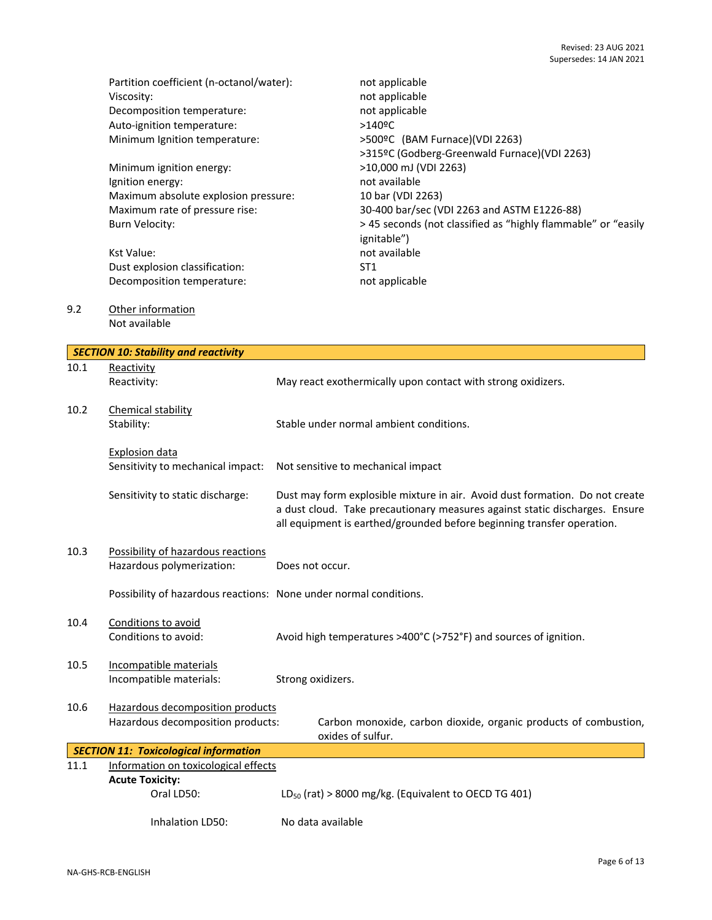|      | Partition coefficient (n-octanol/water):<br>Viscosity:<br>Decomposition temperature:<br>Auto-ignition temperature:<br>Minimum Ignition temperature:<br>Minimum ignition energy:<br>Ignition energy:<br>Maximum absolute explosion pressure:<br>Maximum rate of pressure rise:<br><b>Burn Velocity:</b><br><b>Kst Value:</b><br>Dust explosion classification:<br>Decomposition temperature: | not applicable<br>not applicable<br>not applicable<br>$>140$ <sup>o</sup> C<br>>500ºC (BAM Furnace)(VDI 2263)<br>>315ºC (Godberg-Greenwald Furnace)(VDI 2263)<br>>10,000 mJ (VDI 2263)<br>not available<br>10 bar (VDI 2263)<br>30-400 bar/sec (VDI 2263 and ASTM E1226-88)<br>> 45 seconds (not classified as "highly flammable" or "easily<br>ignitable")<br>not available<br>ST <sub>1</sub><br>not applicable |
|------|---------------------------------------------------------------------------------------------------------------------------------------------------------------------------------------------------------------------------------------------------------------------------------------------------------------------------------------------------------------------------------------------|-------------------------------------------------------------------------------------------------------------------------------------------------------------------------------------------------------------------------------------------------------------------------------------------------------------------------------------------------------------------------------------------------------------------|
| 9.2  | Other information<br>Not available                                                                                                                                                                                                                                                                                                                                                          |                                                                                                                                                                                                                                                                                                                                                                                                                   |
|      | <b>SECTION 10: Stability and reactivity</b>                                                                                                                                                                                                                                                                                                                                                 |                                                                                                                                                                                                                                                                                                                                                                                                                   |
| 10.1 | Reactivity                                                                                                                                                                                                                                                                                                                                                                                  |                                                                                                                                                                                                                                                                                                                                                                                                                   |
|      | Reactivity:                                                                                                                                                                                                                                                                                                                                                                                 | May react exothermically upon contact with strong oxidizers.                                                                                                                                                                                                                                                                                                                                                      |
| 10.2 | Chemical stability                                                                                                                                                                                                                                                                                                                                                                          |                                                                                                                                                                                                                                                                                                                                                                                                                   |
|      | Stability:                                                                                                                                                                                                                                                                                                                                                                                  | Stable under normal ambient conditions.                                                                                                                                                                                                                                                                                                                                                                           |
|      | <b>Explosion data</b><br>Sensitivity to mechanical impact:                                                                                                                                                                                                                                                                                                                                  | Not sensitive to mechanical impact                                                                                                                                                                                                                                                                                                                                                                                |
|      | Sensitivity to static discharge:                                                                                                                                                                                                                                                                                                                                                            | Dust may form explosible mixture in air. Avoid dust formation. Do not create<br>a dust cloud. Take precautionary measures against static discharges. Ensure<br>all equipment is earthed/grounded before beginning transfer operation.                                                                                                                                                                             |
| 10.3 | Possibility of hazardous reactions<br>Hazardous polymerization:                                                                                                                                                                                                                                                                                                                             | Does not occur.                                                                                                                                                                                                                                                                                                                                                                                                   |
|      | Possibility of hazardous reactions: None under normal conditions.                                                                                                                                                                                                                                                                                                                           |                                                                                                                                                                                                                                                                                                                                                                                                                   |
| 10.4 | Conditions to avoid<br>Conditions to avoid:                                                                                                                                                                                                                                                                                                                                                 | Avoid high temperatures >400°C (>752°F) and sources of ignition.                                                                                                                                                                                                                                                                                                                                                  |
| 10.5 | Incompatible materials<br>Incompatible materials:                                                                                                                                                                                                                                                                                                                                           | Strong oxidizers.                                                                                                                                                                                                                                                                                                                                                                                                 |
| 10.6 | Hazardous decomposition products<br>Hazardous decomposition products:                                                                                                                                                                                                                                                                                                                       | Carbon monoxide, carbon dioxide, organic products of combustion,<br>oxides of sulfur.                                                                                                                                                                                                                                                                                                                             |
|      | <b>SECTION 11: Toxicological information</b>                                                                                                                                                                                                                                                                                                                                                |                                                                                                                                                                                                                                                                                                                                                                                                                   |
| 11.1 | Information on toxicological effects                                                                                                                                                                                                                                                                                                                                                        |                                                                                                                                                                                                                                                                                                                                                                                                                   |
|      | <b>Acute Toxicity:</b>                                                                                                                                                                                                                                                                                                                                                                      |                                                                                                                                                                                                                                                                                                                                                                                                                   |
|      | Oral LD50:                                                                                                                                                                                                                                                                                                                                                                                  | $LD_{50}$ (rat) > 8000 mg/kg. (Equivalent to OECD TG 401)                                                                                                                                                                                                                                                                                                                                                         |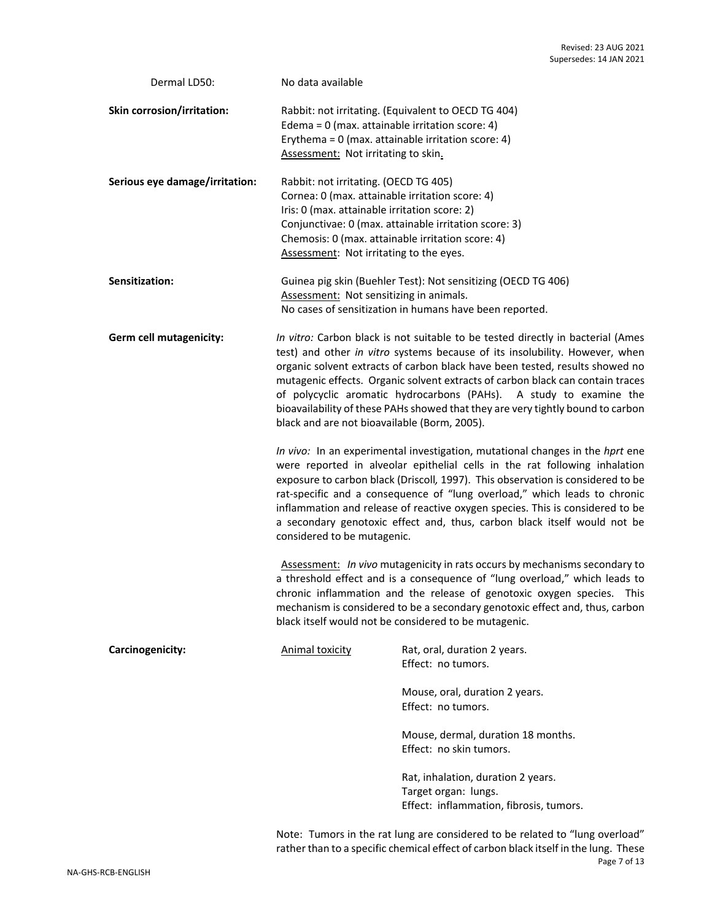| Dermal LD50:                   | No data available                                                                                                                                                                                                                                                                                                                                                                                                                                                                                                                         |                                                                                                                                                                                                                                                                                                                                                                             |  |  |  |
|--------------------------------|-------------------------------------------------------------------------------------------------------------------------------------------------------------------------------------------------------------------------------------------------------------------------------------------------------------------------------------------------------------------------------------------------------------------------------------------------------------------------------------------------------------------------------------------|-----------------------------------------------------------------------------------------------------------------------------------------------------------------------------------------------------------------------------------------------------------------------------------------------------------------------------------------------------------------------------|--|--|--|
| Skin corrosion/irritation:     | Rabbit: not irritating. (Equivalent to OECD TG 404)<br>Edema = $0$ (max. attainable irritation score: 4)<br>Erythema = $0$ (max. attainable irritation score: 4)<br>Assessment: Not irritating to skin.                                                                                                                                                                                                                                                                                                                                   |                                                                                                                                                                                                                                                                                                                                                                             |  |  |  |
| Serious eye damage/irritation: | Rabbit: not irritating. (OECD TG 405)<br>Cornea: 0 (max. attainable irritation score: 4)<br>Iris: 0 (max. attainable irritation score: 2)<br>Chemosis: 0 (max. attainable irritation score: 4)<br>Assessment: Not irritating to the eyes.                                                                                                                                                                                                                                                                                                 | Conjunctivae: 0 (max. attainable irritation score: 3)                                                                                                                                                                                                                                                                                                                       |  |  |  |
| Sensitization:                 | Assessment: Not sensitizing in animals.                                                                                                                                                                                                                                                                                                                                                                                                                                                                                                   | Guinea pig skin (Buehler Test): Not sensitizing (OECD TG 406)<br>No cases of sensitization in humans have been reported.                                                                                                                                                                                                                                                    |  |  |  |
| Germ cell mutagenicity:        | In vitro: Carbon black is not suitable to be tested directly in bacterial (Ames<br>test) and other in vitro systems because of its insolubility. However, when<br>organic solvent extracts of carbon black have been tested, results showed no<br>mutagenic effects. Organic solvent extracts of carbon black can contain traces<br>of polycyclic aromatic hydrocarbons (PAHs). A study to examine the<br>bioavailability of these PAHs showed that they are very tightly bound to carbon<br>black and are not bioavailable (Borm, 2005). |                                                                                                                                                                                                                                                                                                                                                                             |  |  |  |
|                                | In vivo: In an experimental investigation, mutational changes in the hprt ene<br>were reported in alveolar epithelial cells in the rat following inhalation<br>exposure to carbon black (Driscoll, 1997). This observation is considered to be<br>rat-specific and a consequence of "lung overload," which leads to chronic<br>inflammation and release of reactive oxygen species. This is considered to be<br>a secondary genotoxic effect and, thus, carbon black itself would not be<br>considered to be mutagenic.                   |                                                                                                                                                                                                                                                                                                                                                                             |  |  |  |
|                                |                                                                                                                                                                                                                                                                                                                                                                                                                                                                                                                                           | Assessment: In vivo mutagenicity in rats occurs by mechanisms secondary to<br>a threshold effect and is a consequence of "lung overload," which leads to<br>chronic inflammation and the release of genotoxic oxygen species. This<br>mechanism is considered to be a secondary genotoxic effect and, thus, carbon<br>black itself would not be considered to be mutagenic. |  |  |  |
| Carcinogenicity:               | <b>Animal toxicity</b>                                                                                                                                                                                                                                                                                                                                                                                                                                                                                                                    | Rat, oral, duration 2 years.<br>Effect: no tumors.                                                                                                                                                                                                                                                                                                                          |  |  |  |
|                                |                                                                                                                                                                                                                                                                                                                                                                                                                                                                                                                                           | Mouse, oral, duration 2 years.<br>Effect: no tumors.                                                                                                                                                                                                                                                                                                                        |  |  |  |
|                                |                                                                                                                                                                                                                                                                                                                                                                                                                                                                                                                                           | Mouse, dermal, duration 18 months.<br>Effect: no skin tumors.                                                                                                                                                                                                                                                                                                               |  |  |  |
|                                |                                                                                                                                                                                                                                                                                                                                                                                                                                                                                                                                           | Rat, inhalation, duration 2 years.<br>Target organ: lungs.<br>Effect: inflammation, fibrosis, tumors.                                                                                                                                                                                                                                                                       |  |  |  |
|                                |                                                                                                                                                                                                                                                                                                                                                                                                                                                                                                                                           |                                                                                                                                                                                                                                                                                                                                                                             |  |  |  |

Page 7 of 13 Note: Tumors in the rat lung are considered to be related to "lung overload" rather than to a specific chemical effect of carbon black itself in the lung. These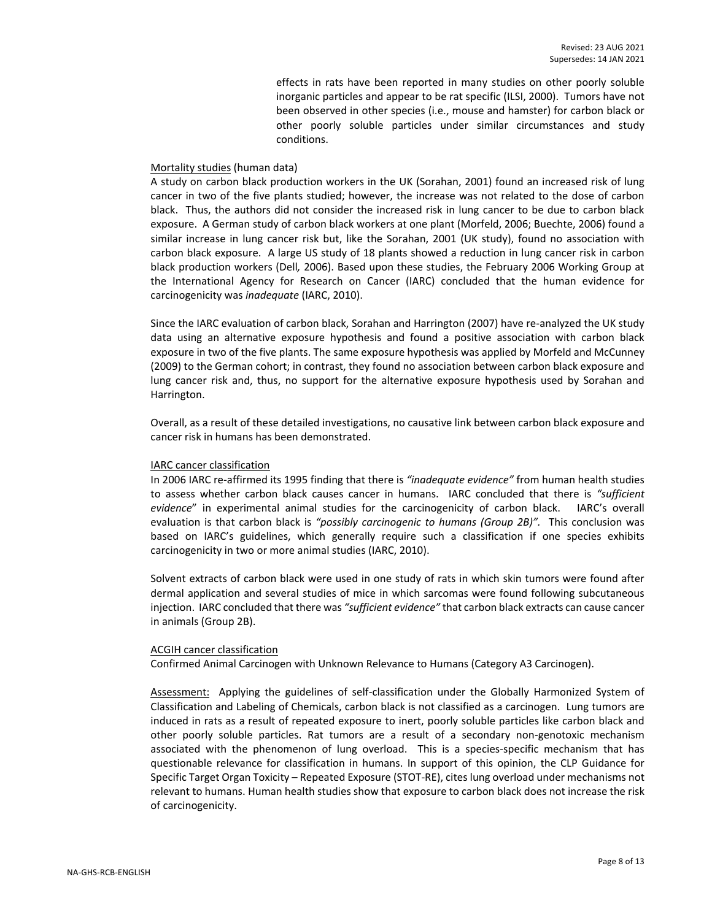effects in rats have been reported in many studies on other poorly soluble inorganic particles and appear to be rat specific (ILSI, 2000). Tumors have not been observed in other species (i.e., mouse and hamster) for carbon black or other poorly soluble particles under similar circumstances and study conditions.

#### Mortality studies (human data)

A study on carbon black production workers in the UK (Sorahan, 2001) found an increased risk of lung cancer in two of the five plants studied; however, the increase was not related to the dose of carbon black. Thus, the authors did not consider the increased risk in lung cancer to be due to carbon black exposure. A German study of carbon black workers at one plant (Morfeld, 2006; Buechte, 2006) found a similar increase in lung cancer risk but, like the Sorahan, 2001 (UK study), found no association with carbon black exposure. A large US study of 18 plants showed a reduction in lung cancer risk in carbon black production workers (Dell*,* 2006). Based upon these studies, the February 2006 Working Group at the International Agency for Research on Cancer (IARC) concluded that the human evidence for carcinogenicity was *inadequate* (IARC, 2010).

Since the IARC evaluation of carbon black, Sorahan and Harrington (2007) have re-analyzed the UK study data using an alternative exposure hypothesis and found a positive association with carbon black exposure in two of the five plants. The same exposure hypothesis was applied by Morfeld and McCunney (2009) to the German cohort; in contrast, they found no association between carbon black exposure and lung cancer risk and, thus, no support for the alternative exposure hypothesis used by Sorahan and Harrington.

Overall, as a result of these detailed investigations, no causative link between carbon black exposure and cancer risk in humans has been demonstrated.

#### IARC cancer classification

In 2006 IARC re-affirmed its 1995 finding that there is *"inadequate evidence"* from human health studies to assess whether carbon black causes cancer in humans. IARC concluded that there is *"sufficient evidence*" in experimental animal studies for the carcinogenicity of carbon black. IARC's overall evaluation is that carbon black is *"possibly carcinogenic to humans (Group 2B)".* This conclusion was based on IARC's guidelines, which generally require such a classification if one species exhibits carcinogenicity in two or more animal studies (IARC, 2010).

Solvent extracts of carbon black were used in one study of rats in which skin tumors were found after dermal application and several studies of mice in which sarcomas were found following subcutaneous injection. IARC concluded that there was *"sufficient evidence"* that carbon black extracts can cause cancer in animals (Group 2B).

#### ACGIH cancer classification

Confirmed Animal Carcinogen with Unknown Relevance to Humans (Category A3 Carcinogen).

Assessment: Applying the guidelines of self-classification under the Globally Harmonized System of Classification and Labeling of Chemicals, carbon black is not classified as a carcinogen. Lung tumors are induced in rats as a result of repeated exposure to inert, poorly soluble particles like carbon black and other poorly soluble particles. Rat tumors are a result of a secondary non-genotoxic mechanism associated with the phenomenon of lung overload. This is a species-specific mechanism that has questionable relevance for classification in humans. In support of this opinion, the CLP Guidance for Specific Target Organ Toxicity – Repeated Exposure (STOT-RE), cites lung overload under mechanisms not relevant to humans. Human health studies show that exposure to carbon black does not increase the risk of carcinogenicity.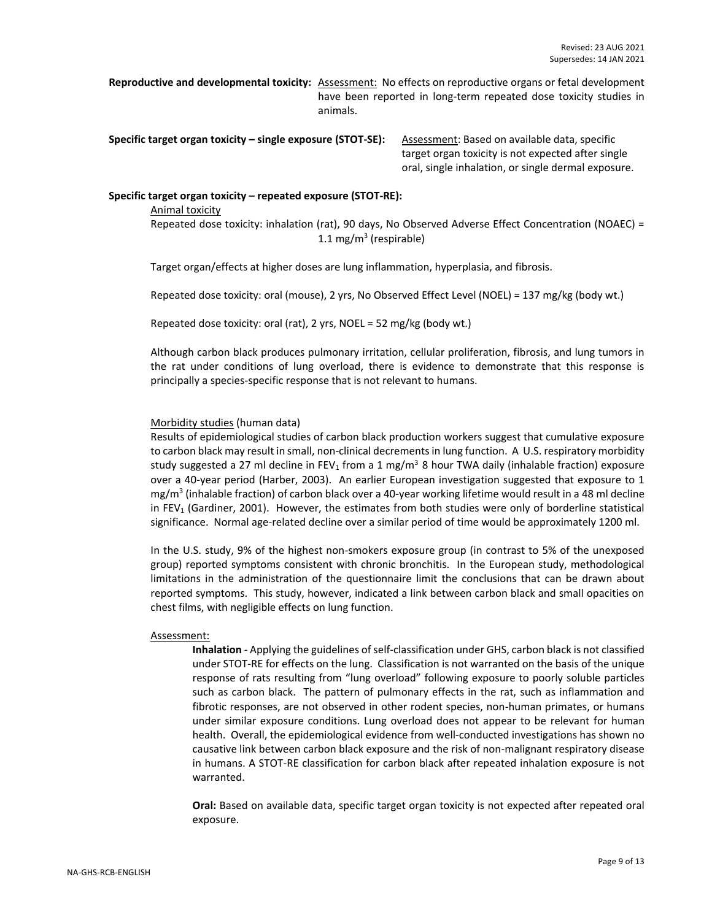**Reproductive and developmental toxicity:** Assessment: No effects on reproductive organs or fetal development have been reported in long-term repeated dose toxicity studies in animals.

**Specific target organ toxicity – single exposure (STOT-SE):** Assessment: Based on available data, specific

target organ toxicity is not expected after single oral, single inhalation, or single dermal exposure.

#### **Specific target organ toxicity – repeated exposure (STOT-RE):**

Animal toxicity Repeated dose toxicity: inhalation (rat), 90 days, No Observed Adverse Effect Concentration (NOAEC) = 1.1 mg/m<sup>3</sup> (respirable)

Target organ/effects at higher doses are lung inflammation, hyperplasia, and fibrosis.

Repeated dose toxicity: oral (mouse), 2 yrs, No Observed Effect Level (NOEL) = 137 mg/kg (body wt.)

Repeated dose toxicity: oral (rat), 2 yrs, NOEL = 52 mg/kg (body wt.)

Although carbon black produces pulmonary irritation, cellular proliferation, fibrosis, and lung tumors in the rat under conditions of lung overload, there is evidence to demonstrate that this response is principally a species-specific response that is not relevant to humans.

#### Morbidity studies (human data)

Results of epidemiological studies of carbon black production workers suggest that cumulative exposure to carbon black may result in small, non-clinical decrements in lung function. A U.S. respiratory morbidity study suggested a 27 ml decline in FEV<sub>1</sub> from a 1 mg/m<sup>3</sup> 8 hour TWA daily (inhalable fraction) exposure over a 40-year period (Harber, 2003). An earlier European investigation suggested that exposure to 1 mg/m<sup>3</sup> (inhalable fraction) of carbon black over a 40-year working lifetime would result in a 48 ml decline in  $FEV<sub>1</sub>$  (Gardiner, 2001). However, the estimates from both studies were only of borderline statistical significance. Normal age-related decline over a similar period of time would be approximately 1200 ml.

In the U.S. study, 9% of the highest non-smokers exposure group (in contrast to 5% of the unexposed group) reported symptoms consistent with chronic bronchitis. In the European study, methodological limitations in the administration of the questionnaire limit the conclusions that can be drawn about reported symptoms. This study, however, indicated a link between carbon black and small opacities on chest films, with negligible effects on lung function.

#### Assessment:

**Inhalation** - Applying the guidelines of self-classification under GHS, carbon black is not classified under STOT-RE for effects on the lung. Classification is not warranted on the basis of the unique response of rats resulting from "lung overload" following exposure to poorly soluble particles such as carbon black. The pattern of pulmonary effects in the rat, such as inflammation and fibrotic responses, are not observed in other rodent species, non-human primates, or humans under similar exposure conditions. Lung overload does not appear to be relevant for human health. Overall, the epidemiological evidence from well-conducted investigations has shown no causative link between carbon black exposure and the risk of non-malignant respiratory disease in humans. A STOT-RE classification for carbon black after repeated inhalation exposure is not warranted.

**Oral:** Based on available data, specific target organ toxicity is not expected after repeated oral exposure.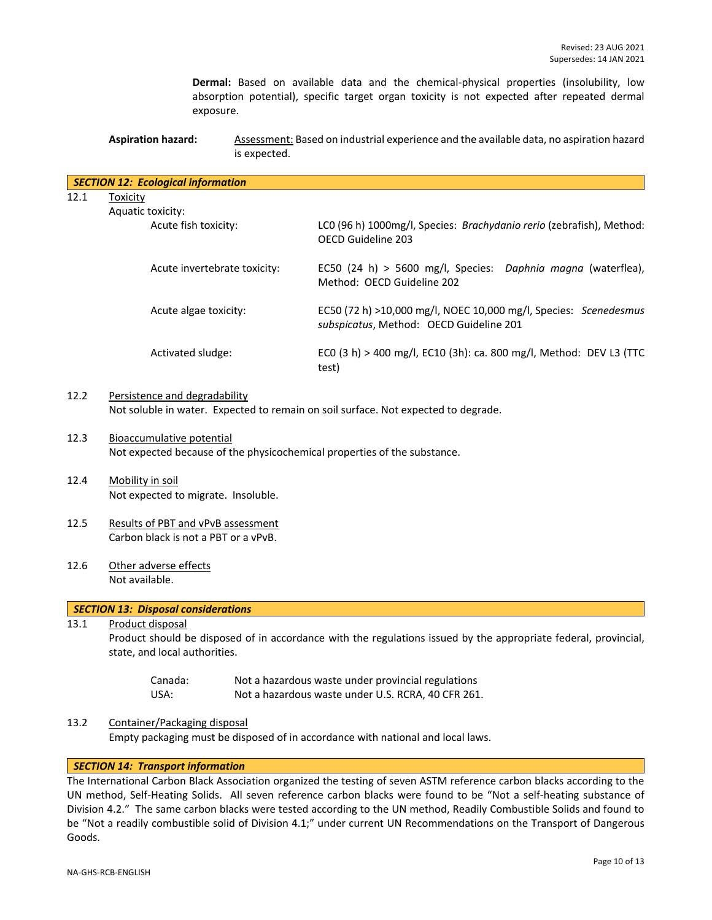**Dermal:** Based on available data and the chemical-physical properties (insolubility, low absorption potential), specific target organ toxicity is not expected after repeated dermal exposure.

**Aspiration hazard:** Assessment: Based on industrial experience and the available data, no aspiration hazard is expected.

|      | <b>SECTION 12: Ecological information</b>                                                                       |  |                                                                                                             |  |  |  |  |
|------|-----------------------------------------------------------------------------------------------------------------|--|-------------------------------------------------------------------------------------------------------------|--|--|--|--|
| 12.1 | Toxicity                                                                                                        |  |                                                                                                             |  |  |  |  |
|      | Aquatic toxicity:                                                                                               |  |                                                                                                             |  |  |  |  |
|      | Acute fish toxicity:                                                                                            |  | LC0 (96 h) 1000mg/l, Species: Brachydanio rerio (zebrafish), Method:<br>OECD Guideline 203                  |  |  |  |  |
|      | Acute invertebrate toxicity:                                                                                    |  | EC50 (24 h) > 5600 mg/l, Species: Daphnia magna (waterflea),<br>Method: OECD Guideline 202                  |  |  |  |  |
|      | Acute algae toxicity:                                                                                           |  | EC50 (72 h) >10,000 mg/l, NOEC 10,000 mg/l, Species: Scenedesmus<br>subspicatus, Method: OECD Guideline 201 |  |  |  |  |
|      | Activated sludge:                                                                                               |  | ECO (3 h) > 400 mg/l, EC10 (3h): ca. 800 mg/l, Method: DEV L3 (TTC<br>test)                                 |  |  |  |  |
| 12.2 | Persistence and degradability                                                                                   |  | Not soluble in water. Expected to remain on soil surface. Not expected to degrade.                          |  |  |  |  |
| 12.3 | <b>Bioaccumulative potential</b>                                                                                |  | Not expected because of the physicochemical properties of the substance.                                    |  |  |  |  |
| 12.4 | Mobility in soil<br>Not expected to migrate. Insoluble.                                                         |  |                                                                                                             |  |  |  |  |
| 12.5 | Results of PBT and vPvB assessment<br>Carbon black is not a PBT or a vPvB.                                      |  |                                                                                                             |  |  |  |  |
| 12.6 | Other adverse effects<br>Not available.                                                                         |  |                                                                                                             |  |  |  |  |
|      | <b>SECTION 13: Disposal considerations</b>                                                                      |  |                                                                                                             |  |  |  |  |
| 13.1 | Product should be disposed of in accordance with the regulations issued by the appropriate federal, provincial, |  |                                                                                                             |  |  |  |  |
|      | Canada:<br>USA:                                                                                                 |  | Not a hazardous waste under provincial regulations<br>Not a hazardous waste under U.S. RCRA, 40 CFR 261.    |  |  |  |  |
| 13.2 | Container/Packaging disposal                                                                                    |  |                                                                                                             |  |  |  |  |

Empty packaging must be disposed of in accordance with national and local laws.

### *SECTION 14: Transport information*

The International Carbon Black Association organized the testing of seven ASTM reference carbon blacks according to the UN method, Self-Heating Solids. All seven reference carbon blacks were found to be "Not a self-heating substance of Division 4.2." The same carbon blacks were tested according to the UN method, Readily Combustible Solids and found to be "Not a readily combustible solid of Division 4.1;" under current UN Recommendations on the Transport of Dangerous Goods.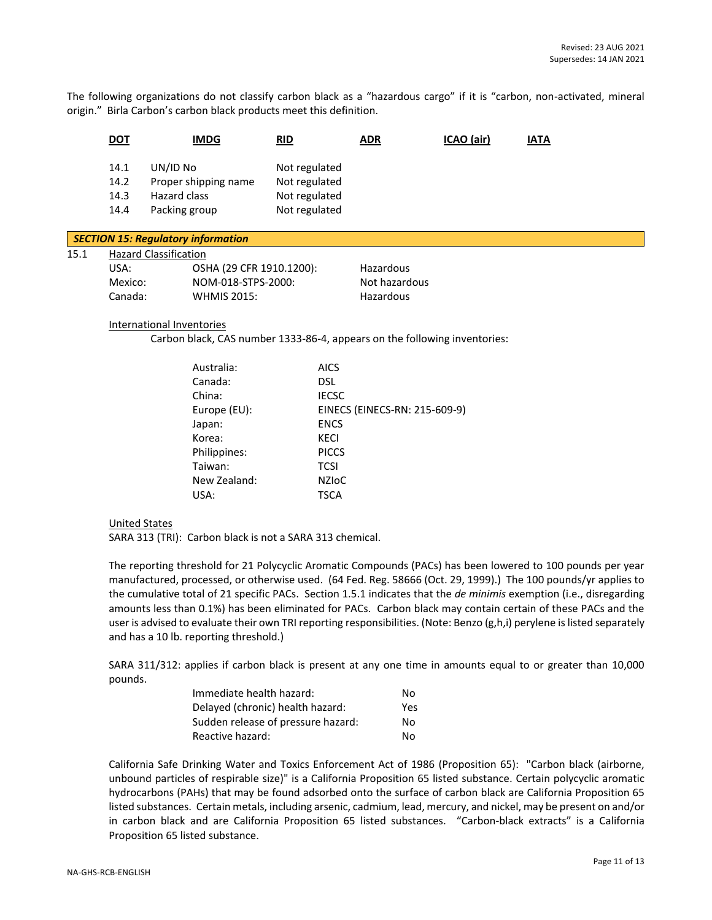The following organizations do not classify carbon black as a "hazardous cargo" if it is "carbon, non-activated, mineral origin." Birla Carbon's carbon black products meet this definition.

|      | <b>DOT</b>                   | <b>IMDG</b>                                                       | RID                                                              | <b>ADR</b> | ICAO (air) | <b>IATA</b> |  |
|------|------------------------------|-------------------------------------------------------------------|------------------------------------------------------------------|------------|------------|-------------|--|
|      | 14.1<br>14.2<br>14.3<br>14.4 | UN/ID No<br>Proper shipping name<br>Hazard class<br>Packing group | Not regulated<br>Not regulated<br>Not regulated<br>Not regulated |            |            |             |  |
|      |                              | <b>SECTION 15: Regulatory information</b>                         |                                                                  |            |            |             |  |
| 15.1 | USA:                         | <b>Hazard Classification</b><br>OSHA (29 CFR 1910.1200):          |                                                                  | Hazardous  |            |             |  |

| USA:    | OSHA (29 CFR 1910.1200): | Hazardous     |
|---------|--------------------------|---------------|
| Mexico: | NOM-018-STPS-2000:       | Not hazardous |
| Canada: | <b>WHMIS 2015:</b>       | Hazardous     |

#### International Inventories

Carbon black, CAS number 1333-86-4, appears on the following inventories:

| Australia:   | <b>AICS</b>                   |
|--------------|-------------------------------|
| Canada:      | DSL.                          |
| China:       | <b>IECSC</b>                  |
| Europe (EU): | EINECS (EINECS-RN: 215-609-9) |
| Japan:       | <b>ENCS</b>                   |
| Korea:       | KECI                          |
| Philippines: | <b>PICCS</b>                  |
| Taiwan:      | <b>TCSI</b>                   |
| New Zealand: | <b>NZIOC</b>                  |
| USA:         | TSCA                          |
|              |                               |

#### United States

SARA 313 (TRI): Carbon black is not a SARA 313 chemical.

The reporting threshold for 21 Polycyclic Aromatic Compounds (PACs) has been lowered to 100 pounds per year manufactured, processed, or otherwise used. (64 Fed. Reg. 58666 (Oct. 29, 1999).) The 100 pounds/yr applies to the cumulative total of 21 specific PACs. Section 1.5.1 indicates that the *de minimis* exemption (i.e., disregarding amounts less than 0.1%) has been eliminated for PACs. Carbon black may contain certain of these PACs and the user is advised to evaluate their own TRI reporting responsibilities. (Note: Benzo (g,h,i) perylene is listed separately and has a 10 lb. reporting threshold.)

SARA 311/312: applies if carbon black is present at any one time in amounts equal to or greater than 10,000 pounds.

| Immediate health hazard:           | No. |
|------------------------------------|-----|
| Delayed (chronic) health hazard:   | Yes |
| Sudden release of pressure hazard: | No. |
| Reactive hazard:                   | No. |

California Safe Drinking Water and Toxics Enforcement Act of 1986 (Proposition 65): "Carbon black (airborne, unbound particles of respirable size)" is a California Proposition 65 listed substance. Certain polycyclic aromatic hydrocarbons (PAHs) that may be found adsorbed onto the surface of carbon black are California Proposition 65 listed substances. Certain metals, including arsenic, cadmium, lead, mercury, and nickel, may be present on and/or in carbon black and are California Proposition 65 listed substances. "Carbon-black extracts" is a California Proposition 65 listed substance.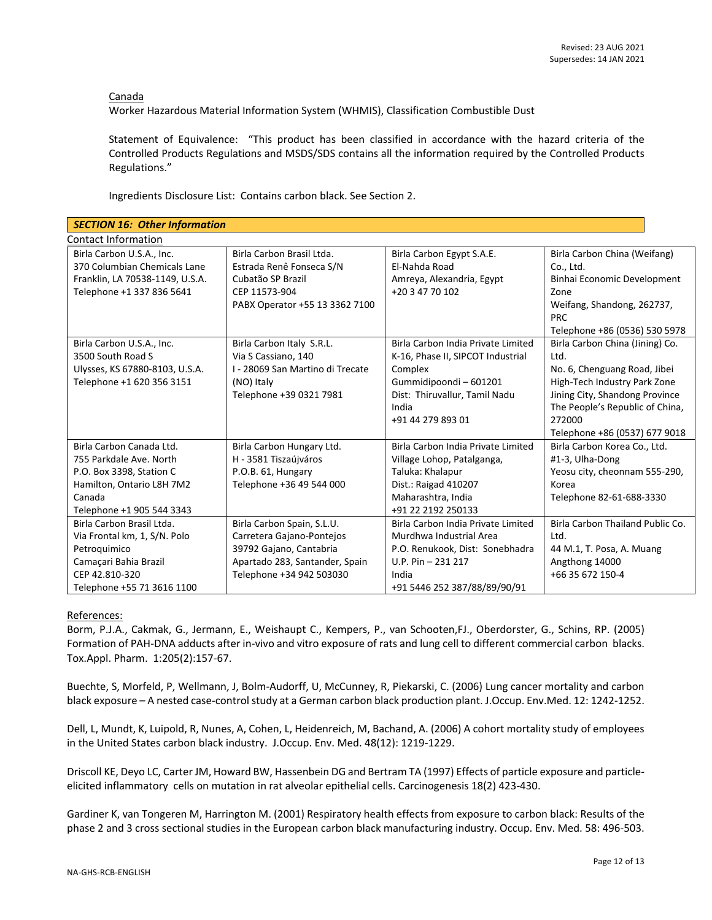Canada

Worker Hazardous Material Information System (WHMIS), Classification Combustible Dust

Statement of Equivalence: "This product has been classified in accordance with the hazard criteria of the Controlled Products Regulations and MSDS/SDS contains all the information required by the Controlled Products Regulations."

Ingredients Disclosure List: Contains carbon black. See Section 2.

| <b>SECTION 16: Other Information</b> |                                  |                                    |                                  |  |  |
|--------------------------------------|----------------------------------|------------------------------------|----------------------------------|--|--|
| <b>Contact Information</b>           |                                  |                                    |                                  |  |  |
| Birla Carbon U.S.A., Inc.            | Birla Carbon Brasil Ltda.        | Birla Carbon Egypt S.A.E.          | Birla Carbon China (Weifang)     |  |  |
| 370 Columbian Chemicals Lane         | Estrada Renê Fonseca S/N         | El-Nahda Road                      | Co., Ltd.                        |  |  |
| Franklin, LA 70538-1149, U.S.A.      | Cubatão SP Brazil                | Amreya, Alexandria, Egypt          | Binhai Economic Development      |  |  |
| Telephone +1 337 836 5641            | CEP 11573-904                    | +20 3 47 70 102                    | Zone                             |  |  |
|                                      | PABX Operator +55 13 3362 7100   |                                    | Weifang, Shandong, 262737,       |  |  |
|                                      |                                  |                                    | <b>PRC</b>                       |  |  |
|                                      |                                  |                                    | Telephone +86 (0536) 530 5978    |  |  |
| Birla Carbon U.S.A., Inc.            | Birla Carbon Italy S.R.L.        | Birla Carbon India Private Limited | Birla Carbon China (Jining) Co.  |  |  |
| 3500 South Road S                    | Via S Cassiano, 140              | K-16, Phase II, SIPCOT Industrial  | Ltd.                             |  |  |
| Ulysses, KS 67880-8103, U.S.A.       | I - 28069 San Martino di Trecate | Complex                            | No. 6, Chenguang Road, Jibei     |  |  |
| Telephone +1 620 356 3151            | (NO) Italy                       | Gummidipoondi-601201               | High-Tech Industry Park Zone     |  |  |
|                                      | Telephone +39 0321 7981          | Dist: Thiruvallur, Tamil Nadu      | Jining City, Shandong Province   |  |  |
|                                      |                                  | India                              | The People's Republic of China,  |  |  |
|                                      |                                  | +91 44 279 893 01                  | 272000                           |  |  |
|                                      |                                  |                                    | Telephone +86 (0537) 677 9018    |  |  |
| Birla Carbon Canada Ltd.             | Birla Carbon Hungary Ltd.        | Birla Carbon India Private Limited | Birla Carbon Korea Co., Ltd.     |  |  |
| 755 Parkdale Ave. North              | H - 3581 Tiszaújváros            | Village Lohop, Patalganga,         | #1-3, Ulha-Dong                  |  |  |
| P.O. Box 3398, Station C             | P.O.B. 61, Hungary               | Taluka: Khalapur                   | Yeosu city, cheonnam 555-290,    |  |  |
| Hamilton, Ontario L8H 7M2            | Telephone +36 49 544 000         | Dist.: Raigad 410207               | Korea                            |  |  |
| Canada                               |                                  | Maharashtra, India                 | Telephone 82-61-688-3330         |  |  |
| Telephone +1 905 544 3343            |                                  | +91 22 2192 250133                 |                                  |  |  |
| Birla Carbon Brasil Ltda.            | Birla Carbon Spain, S.L.U.       | Birla Carbon India Private Limited | Birla Carbon Thailand Public Co. |  |  |
| Via Frontal km, 1, S/N. Polo         | Carretera Gajano-Pontejos        | Murdhwa Industrial Area            | Ltd.                             |  |  |
| Petroquimico                         | 39792 Gajano, Cantabria          | P.O. Renukook, Dist: Sonebhadra    | 44 M.1, T. Posa, A. Muang        |  |  |
| Camacari Bahia Brazil                | Apartado 283, Santander, Spain   | $U.P. Pin - 231217$                | Angthong 14000                   |  |  |
| CEP 42.810-320                       | Telephone +34 942 503030         | India                              | +66 35 672 150-4                 |  |  |
| Telephone +55 71 3616 1100           |                                  | +91 5446 252 387/88/89/90/91       |                                  |  |  |

#### References:

Borm, P.J.A., Cakmak, G., Jermann, E., Weishaupt C., Kempers, P., van Schooten,FJ., Oberdorster, G., Schins, RP. (2005) Formation of PAH-DNA adducts after in-vivo and vitro exposure of rats and lung cell to different commercial carbon blacks. Tox.Appl. Pharm. 1:205(2):157-67.

Buechte, S, Morfeld, P, Wellmann, J, Bolm-Audorff, U, McCunney, R, Piekarski, C. (2006) Lung cancer mortality and carbon black exposure – A nested case-control study at a German carbon black production plant. J.Occup. Env.Med. 12: 1242-1252.

Dell, L, Mundt, K, Luipold, R, Nunes, A, Cohen, L, Heidenreich, M, Bachand, A. (2006) A cohort mortality study of employees in the United States carbon black industry. J.Occup. Env. Med. 48(12): 1219-1229.

Driscoll KE, Deyo LC, Carter JM, Howard BW, Hassenbein DG and Bertram TA (1997) Effects of particle exposure and particleelicited inflammatory cells on mutation in rat alveolar epithelial cells. Carcinogenesis 18(2) 423-430.

Gardiner K, van Tongeren M, Harrington M. (2001) Respiratory health effects from exposure to carbon black: Results of the phase 2 and 3 cross sectional studies in the European carbon black manufacturing industry. Occup. Env. Med. 58: 496-503.